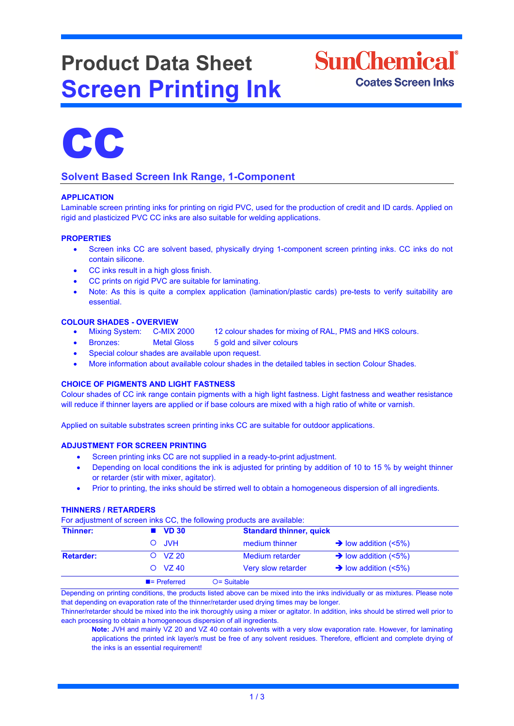# **Product Data Sheet Screen Printing Ink**





# **Solvent Based Screen Ink Range, 1-Component**

# **APPLICATION**

Laminable screen printing inks for printing on rigid PVC, used for the production of credit and ID cards. Applied on rigid and plasticized PVC CC inks are also suitable for welding applications.

# **PROPERTIES**

- Screen inks CC are solvent based, physically drying 1-component screen printing inks. CC inks do not contain silicone.
- CC inks result in a high gloss finish.
- CC prints on rigid PVC are suitable for laminating.
- Note: As this is quite a complex application (lamination/plastic cards) pre-tests to verify suitability are essential.

# **COLOUR SHADES - OVERVIEW**

- Mixing System: C-MIX 2000 12 colour shades for mixing of RAL, PMS and HKS colours.
	- Bronzes: Metal Gloss 5 gold and silver colours
- Special colour shades are available upon request.
- More information about available colour shades in the detailed tables in section Colour Shades.

# **CHOICE OF PIGMENTS AND LIGHT FASTNESS**

Colour shades of CC ink range contain pigments with a high light fastness. Light fastness and weather resistance will reduce if thinner layers are applied or if base colours are mixed with a high ratio of white or varnish.

Applied on suitable substrates screen printing inks CC are suitable for outdoor applications.

# **ADJUSTMENT FOR SCREEN PRINTING**

- Screen printing inks CC are not supplied in a ready-to-print adjustment.
- Depending on local conditions the ink is adjusted for printing by addition of 10 to 15 % by weight thinner or retarder (stir with mixer, agitator).
- Prior to printing, the inks should be stirred well to obtain a homogeneous dispersion of all ingredients.

# **THINNERS / RETARDERS**

For adjustment of screen inks CC, the following products are available:

| Thinner:         | $\blacksquare$ VD 30     | <b>Standard thinner, quick</b> |                                  |  |
|------------------|--------------------------|--------------------------------|----------------------------------|--|
|                  | O JVH                    | medium thinner                 | $\rightarrow$ low addition (<5%) |  |
| <b>Retarder:</b> | $O$ VZ 20                | Medium retarder                | $\rightarrow$ low addition (<5%) |  |
|                  | $O$ VZ 40                | Very slow retarder             | $\rightarrow$ low addition (<5%) |  |
|                  | $\blacksquare$ Preferred | $O =$ Suitable                 |                                  |  |

Depending on printing conditions, the products listed above can be mixed into the inks individually or as mixtures. Please note that depending on evaporation rate of the thinner/retarder used drying times may be longer.

Thinner/retarder should be mixed into the ink thoroughly using a mixer or agitator. In addition, inks should be stirred well prior to each processing to obtain a homogeneous dispersion of all ingredients.

**Note:** JVH and mainly VZ 20 and VZ 40 contain solvents with a very slow evaporation rate. However, for laminating applications the printed ink layer/s must be free of any solvent residues. Therefore, efficient and complete drying of the inks is an essential requirement!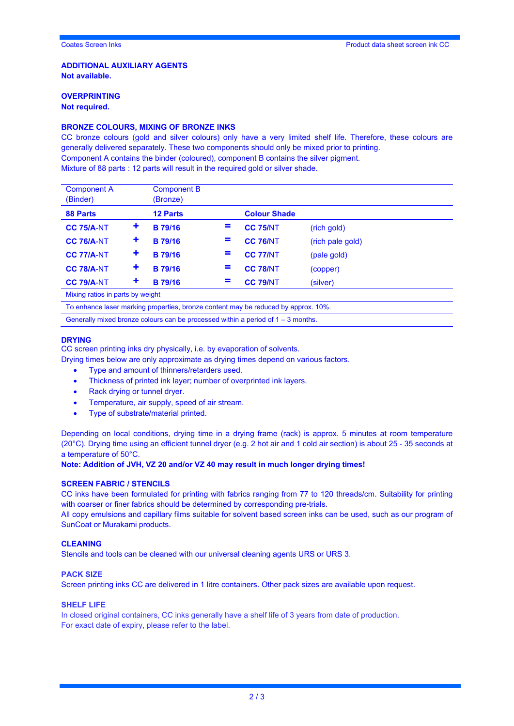#### **ADDITIONAL AUXILIARY AGENTS Not available.**

# **OVERPRINTING**

**Not required.**

# **BRONZE COLOURS, MIXING OF BRONZE INKS**

CC bronze colours (gold and silver colours) only have a very limited shelf life. Therefore, these colours are generally delivered separately. These two components should only be mixed prior to printing. Component A contains the binder (coloured), component B contains the silver pigment. Mixture of 88 parts : 12 parts will result in the required gold or silver shade.

| <b>Component A</b><br>(Binder)   |   | <b>Component B</b><br>(Bronze) |   |                     |                  |  |
|----------------------------------|---|--------------------------------|---|---------------------|------------------|--|
| 88 Parts                         |   | <b>12 Parts</b>                |   | <b>Colour Shade</b> |                  |  |
| <b>CC 75/A-NT</b>                | ٠ | <b>B</b> 79/16                 | Ξ | <b>CC 75/NT</b>     | (rich gold)      |  |
| <b>CC 76/A-NT</b>                | ٠ | <b>B</b> 79/16                 | = | <b>CC 76/NT</b>     | (rich pale gold) |  |
| <b>CC 77/A-NT</b>                | ٠ | <b>B</b> 79/16                 | = | <b>CC 77/NT</b>     | (pale gold)      |  |
| <b>CC 78/A-NT</b>                | ٠ | <b>B</b> 79/16                 | Ξ | <b>CC 78/NT</b>     | (copper)         |  |
| <b>CC 79/A-NT</b>                | ٠ | <b>B</b> 79/16                 | Ξ | <b>CC 79/NT</b>     | (silver)         |  |
| Mixing ratios in parts by weight |   |                                |   |                     |                  |  |

To enhance laser marking properties, bronze content may be reduced by approx. 10%.

Generally mixed bronze colours can be processed within a period of 1 – 3 months.

#### **DRYING**

CC screen printing inks dry physically, i.e. by evaporation of solvents.

Drying times below are only approximate as drying times depend on various factors.

- Type and amount of thinners/retarders used.
- Thickness of printed ink layer; number of overprinted ink layers.
- Rack drying or tunnel dryer.
- Temperature, air supply, speed of air stream.
- Type of substrate/material printed.

Depending on local conditions, drying time in a drying frame (rack) is approx. 5 minutes at room temperature (20°C). Drying time using an efficient tunnel dryer (e.g. 2 hot air and 1 cold air section) is about 25 - 35 seconds at a temperature of 50°C.

#### **Note: Addition of JVH, VZ 20 and/or VZ 40 may result in much longer drying times!**

#### **SCREEN FABRIC / STENCILS**

CC inks have been formulated for printing with fabrics ranging from 77 to 120 threads/cm. Suitability for printing with coarser or finer fabrics should be determined by corresponding pre-trials.

All copy emulsions and capillary films suitable for solvent based screen inks can be used, such as our program of SunCoat or Murakami products.

#### **CLEANING**

Stencils and tools can be cleaned with our universal cleaning agents URS or URS 3.

# **PACK SIZE**

Screen printing inks CC are delivered in 1 litre containers. Other pack sizes are available upon request.

#### **SHELF LIFE**

In closed original containers, CC inks generally have a shelf life of 3 years from date of production. For exact date of expiry, please refer to the label.